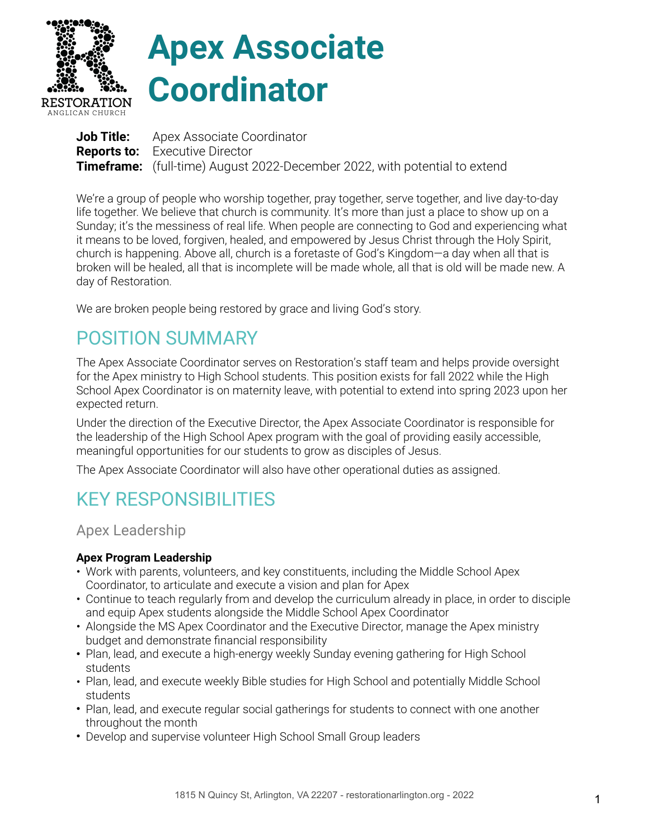

# **Apex Associate Coordinator**

| <b>Job Title:</b> Apex Associate Coordinator                                      |
|-----------------------------------------------------------------------------------|
| <b>Reports to:</b> Executive Director                                             |
| <b>Timeframe:</b> (full-time) August 2022-December 2022, with potential to extend |

We're a group of people who worship together, pray together, serve together, and live day-to-day life together. We believe that church is community. It's more than just a place to show up on a Sunday; it's the messiness of real life. When people are connecting to God and experiencing what it means to be loved, forgiven, healed, and empowered by Jesus Christ through the Holy Spirit, church is happening. Above all, church is a foretaste of God's Kingdom—a day when all that is broken will be healed, all that is incomplete will be made whole, all that is old will be made new. A day of Restoration.

We are broken people being restored by grace and living God's story.

## POSITION SUMMARY

The Apex Associate Coordinator serves on Restoration's staff team and helps provide oversight for the Apex ministry to High School students. This position exists for fall 2022 while the High School Apex Coordinator is on maternity leave, with potential to extend into spring 2023 upon her expected return.

Under the direction of the Executive Director, the Apex Associate Coordinator is responsible for the leadership of the High School Apex program with the goal of providing easily accessible, meaningful opportunities for our students to grow as disciples of Jesus.

The Apex Associate Coordinator will also have other operational duties as assigned.

## KEY RESPONSIBILITIES

Apex Leadership

#### **Apex Program Leadership**

- Work with parents, volunteers, and key constituents, including the Middle School Apex Coordinator, to articulate and execute a vision and plan for Apex
- Continue to teach regularly from and develop the curriculum already in place, in order to disciple and equip Apex students alongside the Middle School Apex Coordinator
- Alongside the MS Apex Coordinator and the Executive Director, manage the Apex ministry budget and demonstrate financial responsibility
- Plan, lead, and execute a high-energy weekly Sunday evening gathering for High School students
- Plan, lead, and execute weekly Bible studies for High School and potentially Middle School students
- Plan, lead, and execute regular social gatherings for students to connect with one another throughout the month
- Develop and supervise volunteer High School Small Group leaders